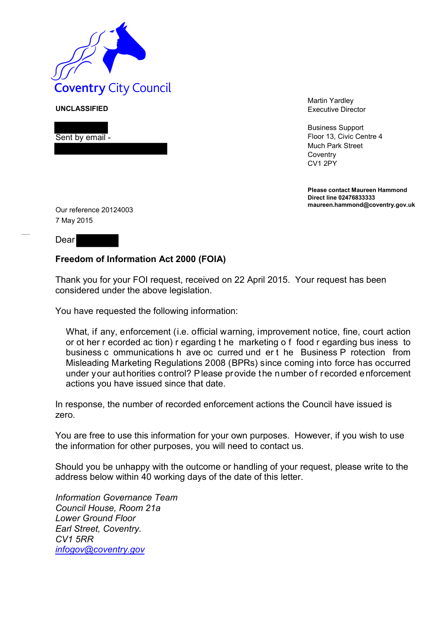

**UNCLASSIFIED**

Sent by email -

Martin Yardley Executive Director

Business Support Floor 13, Civic Centre 4 Much Park Street **Coventry** CV1 2PY

**Please contact Maureen Hammond Direct line 02476833333 maureen.hammond@coventry.gov.uk**

Our reference 20124003 7 May 2015

Dear

## **Freedom of Information Act 2000 (FOIA)**

Thank you for your FOI request, received on 22 April 2015. Your request has been considered under the above legislation.

You have requested the following information:

What, if any, enforcement (i.e. official warning, improvement notice, fine, court action or ot her r ecorded ac tion) r egarding t he marketing o f food r egarding bus iness to business c ommunications h ave oc curred und er t he Business P rotection from Misleading Marketing Regulations 2008 (BPRs) since coming into force has occurred under your authorities control? Please provide the number of recorded enforcement actions you have issued since that date.

In response, the number of recorded enforcement actions the Council have issued is zero.

You are free to use this information for your own purposes. However, if you wish to use the information for other purposes, you will need to contact us.

Should you be unhappy with the outcome or handling of your request, please write to the address below within 40 working days of the date of this letter.

*Information Governance Team Council House, Room 21a Lower Ground Floor Earl Street, Coventry. CV1 5RR [infogov@coventry.gov](mailto:infogov@coventry.gov)*